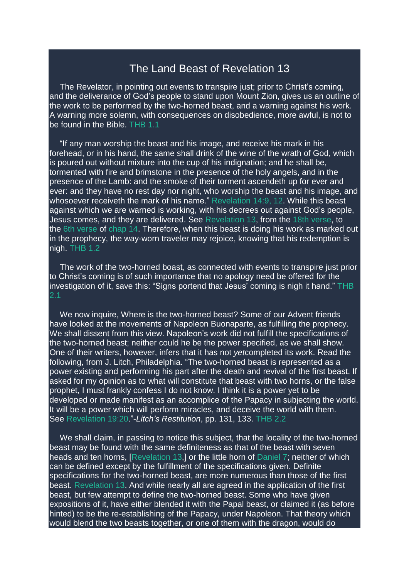## The Land Beast of Revelation 13

The Revelator, in pointing out events to transpire just; prior to Christ's coming, and the deliverance of God's people to stand upon Mount Zion, gives us an outline of the work to be performed by the two-horned beast, and a warning against his work. A warning more solemn, with consequences on disobedience, more awful, is not to be found in the Bible. THB 1.1

"If any man worship the beast and his image, and receive his mark in his forehead, or in his hand, the same shall drink of the wine of the wrath of God, which is poured out without mixture into the cup of his indignation; and he shall be, tormented with fire and brimstone in the presence of the holy angels, and in the presence of the Lamb: and the smoke of their torment ascendeth up for ever and ever: and they have no rest day nor night, who worship the beast and his image, and whosoever receiveth the mark of his name." [Revelation](https://m.egwwritings.org/en/book/1965.63120#63120) 14:9, 12. While this beast against which we are warned is working, with his decrees out against God's people, Jesus comes, and they are delivered. See [Revelation](https://m.egwwritings.org/en/book/1965.63067#63067) 13, from the 18th [verse,](https://m.egwwritings.org/en/book/1965.63101#63101) to the 6th [verse](https://m.egwwritings.org/en/book/1965.63114#63114) of [chap](https://m.egwwritings.org/en/book/1965.63104#63104) 14. Therefore, when this beast is doing his work as marked out in the prophecy, the way-worn traveler may rejoice, knowing that his redemption is nigh. THB 1.2

The work of the two-horned boast, as connected with events to transpire just prior to Christ's coming is of such importance that no apology need be offered for the investigation of it, save this: "Signs portend that Jesus' coming is nigh it hand." THB 2.1

We now inquire, Where is the two-horned beast? Some of our Advent friends have looked at the movements of Napoleon Buonaparte, as fulfilling the prophecy. We shall dissent from this view. Napoleon's work did not fulfill the specifications of the two-horned beast; neither could he be the power specified, as we shall show. One of their writers, however, infers that it has not *yet*completed its work. Read the following, from J. Litch, Philadelphia. "The two-horned beast is represented as a power existing and performing his part after the death and revival of the first beast. If asked for my opinion as to what will constitute that beast with two horns, or the false prophet, I must frankly confess I do not know. I think it is a power yet to be developed or made manifest as an accomplice of the Papacy in subjecting the world. It will be a power which will perform miracles, and deceive the world with them. See [Revelation](https://m.egwwritings.org/en/book/1965.63329#63329) 19:20."-*Litch's Restitution*, pp. 131, 133. THB 2.2

We shall claim, in passing to notice this subject, that the locality of the two-horned beast may be found with the same definiteness as that of the beast with seven heads and ten horns. [\[Revelation](https://m.egwwritings.org/en/book/1965.63067#63067) 13,] or the little horn of [Daniel](https://m.egwwritings.org/en/book/1965.44755#44755) 7; neither of which can be defined except by the fulfillment of the specifications given. Definite specifications for the two-horned beast, are more numerous than those of the first beast. [Revelation](https://m.egwwritings.org/en/book/1965.63067#63067) 13. And while nearly all are agreed in the application of the first beast, but few attempt to define the two-horned beast. Some who have given expositions of it, have either blended it with the Papal beast, or claimed it (as before hinted) to be the re-establishing of the Papacy, under Napoleon. That theory which would blend the two beasts together, or one of them with the dragon, would do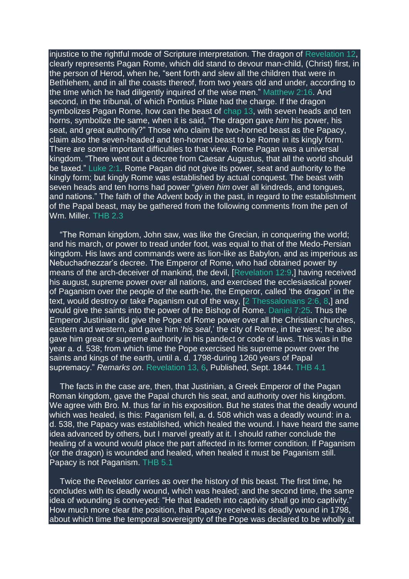injustice to the rightful mode of Scripture interpretation. The dragon of [Revelation](https://m.egwwritings.org/en/book/1965.63032#63032) 12, clearly represents Pagan Rome, which did stand to devour man-child, (Christ) first, in the person of Herod, when he, "sent forth and slew all the children that were in Bethlehem, and in all the coasts thereof, from two years old and under, according to the time which he had diligently inquired of the wise men." [Matthew](https://m.egwwritings.org/en/book/1965.47344#47344) 2:16. And second, in the tribunal, of which Pontius Pilate had the charge. If the dragon symbolizes Pagan Rome, how can the beast of [chap](https://m.egwwritings.org/en/book/1965.63067#63067) 13, with seven heads and ten horns, symbolize the same, when it is said, "The dragon gave *him* his power, his seat, and great authority?" Those who claim the two-horned beast as the Papacy, claim also the seven-headed and ten-horned beast to be Rome in its kingly form. There are some important difficulties to that view. Rome Pagan was a universal kingdom. "There went out a decree from Caesar Augustus, that all the world should be taxed." [Luke](https://m.egwwritings.org/en/book/1965.50968#50968) 2:1. Rome Pagan did not give its power, seat and authority to the kingly form; but kingly Rome was established by actual conquest. The beast with seven heads and ten horns had power "*given him* over all kindreds, and tongues, and nations." The faith of the Advent body in the past, in regard to the establishment of the Papal beast, may be gathered from the following comments from the pen of Wm. Miller. THB 2.3

"The Roman kingdom, John saw, was like the Grecian, in conquering the world; and his march, or power to tread under foot, was equal to that of the Medo-Persian kingdom. His laws and commands were as lion-like as Babylon, and as imperious as Nebuchadnezzar's decree. The Emperor of Rome, who had obtained power by means of the arch-deceiver of mankind, the devil, [\[Revelation](https://m.egwwritings.org/en/book/1965.63048#63048) 12:9,] having received his august, supreme power over all nations, and exercised the ecclesiastical power of Paganism over the people of the earth-he, the Emperor, called 'the dragon' in the text, would destroy or take Paganism out of the way, [2 [Thessalonians](https://m.egwwritings.org/en/book/1965.60508#60508) 2:6, 8,] and would give the saints into the power of the Bishop of Rome. [Daniel](https://m.egwwritings.org/en/book/1965.44803#44803) 7:25. Thus the Emperor Justinian did give the Pope of Rome power over all the Christian churches, eastern and western, and gave him '*his seal*,' the city of Rome, in the west; he also gave him great or supreme authority in his pandect or code of laws. This was in the year a. d. 538; from which time the Pope exercised his supreme power over the saints and kings of the earth, until a. d. 1798-during 1260 years of Papal supremacy." *Remarks on*. [Revelation](https://m.egwwritings.org/en/book/1965.63067#63067) 13, 6, Published, Sept. 1844. THB 4.1

The facts in the case are, then, that Justinian, a Greek Emperor of the Pagan Roman kingdom, gave the Papal church his seat, and authority over his kingdom. We agree with Bro. M. thus far in his exposition. But he states that the deadly wound which was healed, is this: Paganism fell, a. d. 508 which was a deadly wound: in a. d. 538, the Papacy was established, which healed the wound. I have heard the same idea advanced by others, but I marvel greatly at it. I should rather conclude the healing of a wound would place the part affected in its former condition. If Paganism (or the dragon) is wounded and healed, when healed it must be Paganism still. Papacy is not Paganism. THB 5.1

Twice the Revelator carries as over the history of this beast. The first time, he concludes with its deadly wound, which was healed; and the second time, the same idea of wounding is conveyed: "He that leadeth into captivity shall go into captivity." How much more clear the position, that Papacy received its deadly wound in 1798, about which time the temporal sovereignty of the Pope was declared to be wholly at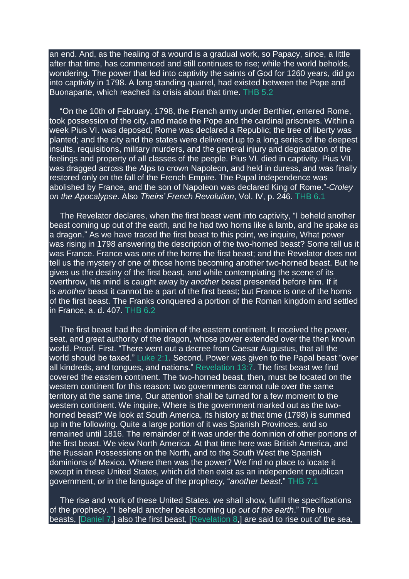an end. And, as the healing of a wound is a gradual work, so Papacy, since, a little after that time, has commenced and still continues to rise; while the world beholds, wondering. The power that led into captivity the saints of God for 1260 years, did go into captivity in 1798. A long standing quarrel, had existed between the Pope and Buonaparte, which reached its crisis about that time. THB 5.2

"On the 10th of February, 1798, the French army under Berthier, entered Rome, took possession of the city, and made the Pope and the cardinal prisoners. Within a week Pius VI. was deposed; Rome was declared a Republic; the tree of liberty was planted; and the city and the states were delivered up to a long series of the deepest insults, requisitions, military murders, and the general injury and degradation of the feelings and property of all classes of the people. Pius VI. died in captivity. Pius VII. was dragged across the Alps to crown Napoleon, and held in duress, and was finally restored only on the fall of the French Empire. The Papal independence was abolished by France, and the son of Napoleon was declared King of Rome."-*Croley on the Apocalypse*. Also *Theirs' French Revolution*, Vol. IV, p. 246. THB 6.1

The Revelator declares, when the first beast went into captivity, "I beheld another beast coming up out of the earth, and he had two horns like a lamb, and he spake as a dragon." As we have traced the first beast to this point, we inquire, What power was rising in 1798 answering the description of the two-horned beast? Some tell us it was France. France was one of the horns the first beast; and the Revelator does not tell us the mystery of one of those horns becoming another two-horned beast. But he gives us the destiny of the first beast, and while contemplating the scene of its overthrow, his mind is caught away by *another* beast presented before him. If it is *another* beast it cannot be a part of the first beast; but France is one of the horns of the first beast. The Franks conquered a portion of the Roman kingdom and settled in France, a. d. 407. THB 6.2

The first beast had the dominion of the eastern continent. It received the power, seat, and great authority of the dragon, whose power extended over the then known world. Proof. First. "There went out a decree from Caesar Augustus, that all the world should be taxed." [Luke](https://m.egwwritings.org/en/book/1965.50968#50968) 2:1. Second. Power was given to the Papal beast "over all kindreds, and tongues, and nations." [Revelation](https://m.egwwritings.org/en/book/1965.63079#63079) 13:7. The first beast we find covered the eastern continent. The two-horned beast, then, must be located on the western continent for this reason: two governments cannot rule over the same territory at the same time, Our attention shall be turned for a few moment to the western continent. We inquire, Where is the government marked out as the twohorned beast? We look at South America, its history at that time (1798) is summed up in the following. Quite a large portion of it was Spanish Provinces, and so remained until 1816. The remainder of it was under the dominion of other portions of the first beast. We view North America. At that time here was British America, and the Russian Possessions on the North, and to the South West the Spanish dominions of Mexico. Where then was the power? We find no place to locate it except in these United States, which did then exist as an independent republican government, or in the language of the prophecy, "*another beast*." THB 7.1

The rise and work of these United States, we shall show, fulfill the specifications of the prophecy. "I beheld another beast coming up *out of the earth*." The four beasts, [\[Daniel](https://m.egwwritings.org/en/book/1965.44755#44755) 7,] also the first beast, [\[Revelation](https://m.egwwritings.org/en/book/1965.62900#62900) 8,] are said to rise out of the sea,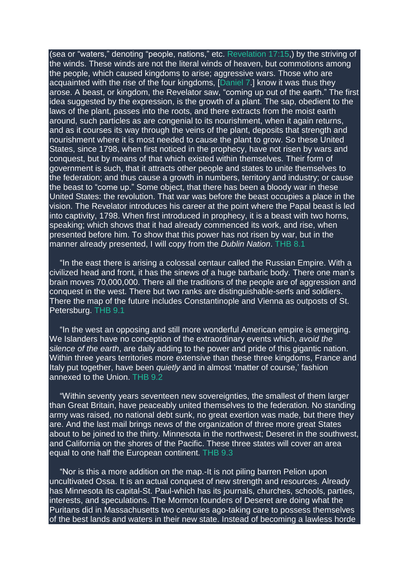(sea or "waters," denoting "people, nations," etc. [Revelation](https://m.egwwritings.org/en/book/1965.63233#63233) 17:15,) by the striving of the winds. These winds are not the literal winds of heaven, but commotions among the people, which caused kingdoms to arise; aggressive wars. Those who are acquainted with the rise of the four kingdoms, [\[Daniel](https://m.egwwritings.org/en/book/1965.44755#44755) 7.] know it was thus they arose. A beast, or kingdom, the Revelator saw, "coming up out of the earth." The first idea suggested by the expression, is the growth of a plant. The sap, obedient to the laws of the plant, passes into the roots, and there extracts from the moist earth around, such particles as are congenial to its nourishment, when it again returns, and as it courses its way through the veins of the plant, deposits that strength and nourishment where it is most needed to cause the plant to grow. So these United States, since 1798, when first noticed in the prophecy, have not risen by wars and conquest, but by means of that which existed within themselves. Their form of government is such, that it attracts other people and states to unite themselves to the federation; and thus cause a growth in numbers, territory and industry; or cause the beast to "come up." Some object, that there has been a bloody war in these United States: the revolution. That war was before the beast occupies a place in the vision. The Revelator introduces his career at the point where the Papal beast is led into captivity, 1798. When first introduced in prophecy, it is a beast with two horns. speaking; which shows that it had already commenced its work, and rise, when presented before him. To show that this power has not risen by war, but in the manner already presented, I will copy from the *Dublin Nation*. THB 8.1

"In the east there is arising a colossal centaur called the Russian Empire. With a civilized head and front, it has the sinews of a huge barbaric body. There one man's brain moves 70,000,000. There all the traditions of the people are of aggression and conquest in the west. There but two ranks are distinguishable-serfs and soldiers. There the map of the future includes Constantinople and Vienna as outposts of St. Petersburg. THB 9.1

"In the west an opposing and still more wonderful American empire is emerging. We Islanders have no conception of the extraordinary events which, *avoid the silence of the earth*, are daily adding to the power and pride of this gigantic nation. Within three years territories more extensive than these three kingdoms, France and Italy put together, have been *quietly* and in almost 'matter of course,' fashion annexed to the Union. THB 9.2

"Within seventy years seventeen new sovereignties, the smallest of them larger than Great Britain, have peaceably united themselves to the federation. No standing army was raised, no national debt sunk, no great exertion was made, but there they are. And the last mail brings news of the organization of three more great States about to be joined to the thirty. Minnesota in the northwest; Deseret in the southwest, and California on the shores of the Pacific. These three states will cover an area equal to one half the European continent. THB 9.3

"Nor is this a more addition on the map.-It is not piling barren Pelion upon uncultivated Ossa. It is an actual conquest of new strength and resources. Already has Minnesota its capital-St. Paul-which has its journals, churches, schools, parties, interests, and speculations. The Mormon founders of Deseret are doing what the Puritans did in Massachusetts two centuries ago-taking care to possess themselves of the best lands and waters in their new state. Instead of becoming a lawless horde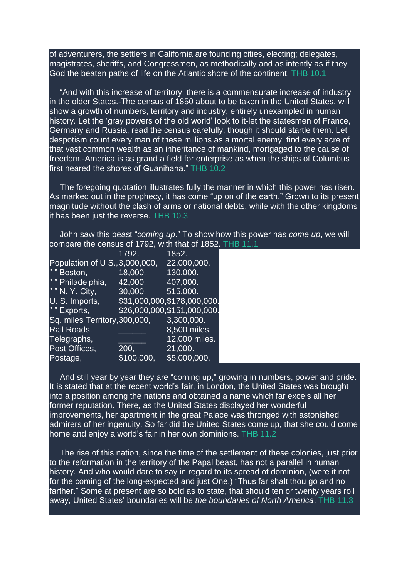of adventurers, the settlers in California are founding cities, electing; delegates, magistrates, sheriffs, and Congressmen, as methodically and as intently as if they God the beaten paths of life on the Atlantic shore of the continent. THB 10.1

"And with this increase of territory, there is a commensurate increase of industry in the older States.-The census of 1850 about to be taken in the United States, will show a growth of numbers, territory and industry, entirely unexampled in human history. Let the 'gray powers of the old world' look to it-let the statesmen of France, Germany and Russia, read the census carefully, though it should startle them. Let despotism count every man of these millions as a mortal enemy, find every acre of that vast common wealth as an inheritance of mankind, mortgaged to the cause of freedom.-America is as grand a field for enterprise as when the ships of Columbus first neared the shores of Guanihana." THB 10.2

The foregoing quotation illustrates fully the manner in which this power has risen. As marked out in the prophecy, it has come "up on of the earth." Grown to its present magnitude without the clash of arms or national debts, while with the other kingdoms it has been just the reverse. THB 10.3

John saw this beast "*coming up*." To show how this power has *come up*, we will compare the census of 1792, with that of 1852. THB 11.1

|                                | 1792.      | 1852.                         |
|--------------------------------|------------|-------------------------------|
| Population of U S., 3,000,000, |            | 22,000,000.                   |
| " "Boston,                     | 18,000,    | 130,000.                      |
| " " Philadelphia,              | 42,000,    | 407,000.                      |
| " " N. Y. City,                | 30,000,    | 515,000.                      |
| U. S. Imports,                 |            | \$31,000,000,\$178,000,000.   |
| " " Exports,                   |            | $$26,000,000,$ \$151,000,000. |
| Sq. miles Territory, 300, 000, |            | 3,300,000.                    |
| Rail Roads,                    |            | 8,500 miles.                  |
| Telegraphs,                    |            | 12,000 miles.                 |
| Post Offices,                  | 200,       | 21,000.                       |
| Postage,                       | \$100,000, | \$5,000,000.                  |

And still year by year they are "coming up," growing in numbers, power and pride. It is stated that at the recent world's fair, in London, the United States was brought into a position among the nations and obtained a name which far excels all her former reputation. There, as the United States displayed her wonderful improvements, her apartment in the great Palace was thronged with astonished admirers of her ingenuity. So far did the United States come up, that she could come home and enjoy a world's fair in her own dominions. THB 11.2

The rise of this nation, since the time of the settlement of these colonies, just prior to the reformation in the territory of the Papal beast, has not a parallel in human history. And who would dare to say in regard to its spread of dominion, (were it not for the coming of the long-expected and just One,) "Thus far shalt thou go and no farther." Some at present are so bold as to state, that should ten or twenty years roll away, United States' boundaries will be *the boundaries of North America*. THB 11.3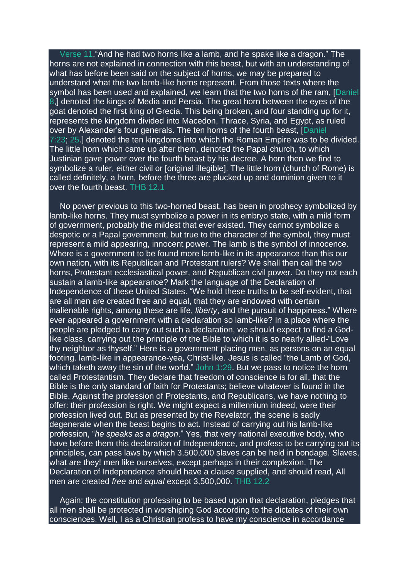[Verse](https://m.egwwritings.org/en/book/1965.63087#63087) 11."And he had two horns like a lamb, and he spake like a dragon." The horns are not explained in connection with this beast, but with an understanding of what has before been said on the subject of horns, we may be prepared to understand what the two lamb-like horns represent. From those texts where the symbol has been used and explained, we learn that the two horns of the ram, [\[Daniel](https://m.egwwritings.org/en/book/1965.44812#44812) [8,](https://m.egwwritings.org/en/book/1965.44812#44812)] denoted the kings of Media and Persia. The great horn between the eyes of the goat denoted the first king of Grecia. This being broken, and four standing up for it, represents the kingdom divided into Macedon, Thrace, Syria, and Egypt, as ruled over by Alexander's four generals. The ten horns of the fourth beast, [\[Daniel](https://m.egwwritings.org/en/book/1965.44799#44799) [7:23;](https://m.egwwritings.org/en/book/1965.44799#44799) [25.](https://m.egwwritings.org/en/book/1965.44803#44803)] denoted the ten kingdoms into which the Roman Empire was to be divided. The little horn which came up after them, denoted the Papal church, to which Justinian gave power over the fourth beast by his decree. A horn then we find to symbolize a ruler, either civil or [original illegible]. The little horn (church of Rome) is called definitely, a horn, before the three are plucked up and dominion given to it over the fourth beast. THB 12.1

No power previous to this two-horned beast, has been in prophecy symbolized by lamb-like horns. They must symbolize a power in its embryo state, with a mild form of government, probably the mildest that ever existed. They cannot symbolize a despotic or a Papal government, but true to the character of the symbol, they must represent a mild appearing, innocent power. The lamb is the symbol of innocence. Where is a government to be found more lamb-like in its appearance than this our own nation, with its Republican and Protestant rulers? We shall then call the two horns, Protestant ecclesiastical power, and Republican civil power. Do they not each sustain a lamb-like appearance? Mark the language of the Declaration of Independence of these United States. "We hold these truths to be self-evident, that are all men are created free and equal, that they are endowed with certain inalienable rights, among these are life, *liberty*, and the pursuit of happiness." Where ever appeared a government with a declaration so lamb-like? In a place where the people are pledged to carry out such a declaration, we should expect to find a Godlike class, carrying out the principle of the Bible to which it is so nearly allied-"Love thy neighbor as thyself." Here is a government placing men, as persons on an equal footing. lamb-like in appearance-yea, Christ-like. Jesus is called "the Lamb of God, which taketh away the sin of the world." [John](https://m.egwwritings.org/en/book/1965.53190#53190) 1:29. But we pass to notice the horn called Protestantism. They declare that freedom of conscience is for all, that the Bible is the only standard of faith for Protestants; believe whatever is found in the Bible. Against the profession of Protestants, and Republicans, we have nothing to offer: their profession is right. We might expect a millennium indeed, were their profession lived out. But as presented by the Revelator, the scene is sadly degenerate when the beast begins to act. Instead of carrying out his lamb-like profession, "*he speaks as a dragon*." Yes, that very national executive body, who have before them this declaration of Independence, and profess to be carrying out its principles, can pass laws by which 3,500,000 slaves can be held in bondage. Slaves, what are they! men like ourselves, except perhaps in their complexion. The Declaration of Independence should have a clause supplied, and should read, All men are created *free* and *equal* except 3,500,000. THB 12.2

Again: the constitution professing to be based upon that declaration, pledges that all men shall be protected in worshiping God according to the dictates of their own consciences. Well, I as a Christian profess to have my conscience in accordance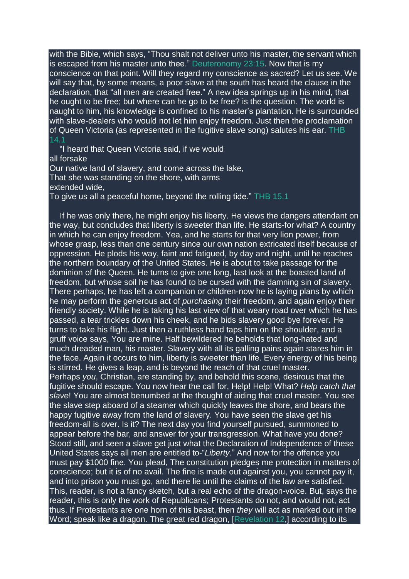with the Bible, which says, "Thou shalt not deliver unto his master, the servant which is escaped from his master unto thee." [Deuteronomy](https://m.egwwritings.org/en/book/1965.11214#11214) 23:15. Now that is my conscience on that point. Will they regard my conscience as sacred? Let us see. We will say that, by some means, a poor slave at the south has heard the clause in the declaration, that "all men are created free." A new idea springs up in his mind, that he ought to be free; but where can he go to be free? is the question. The world is naught to him, his knowledge is confined to his master's plantation. He is surrounded with slave-dealers who would not let him enjoy freedom. Just then the proclamation of Queen Victoria (as represented in the fugitive slave song) salutes his ear. THB 14.1

"I heard that Queen Victoria said, if we would all forsake Our native land of slavery, and come across the lake, That she was standing on the shore, with arms extended wide, To give us all a peaceful home, beyond the rolling tide." THB 15.1

If he was only there, he might enjoy his liberty. He views the dangers attendant on the way, but concludes that liberty is sweeter than life. He starts-for what? A country in which he can enjoy freedom. Yea, and he starts for that very lion power, from whose grasp, less than one century since our own nation extricated itself because of oppression. He plods his way, faint and fatigued, by day and night, until he reaches the northern boundary of the United States. He is about to take passage for the dominion of the Queen. He turns to give one long, last look at the boasted land of freedom, but whose soil he has found to be cursed with the damning sin of slavery. There perhaps, he has left a companion or children-now he is laying plans by which he may perform the generous act of *purchasing* their freedom, and again enjoy their friendly society. While he is taking his last view of that weary road over which he has passed, a tear trickles down his cheek, and he bids slavery good bye forever. He turns to take his flight. Just then a ruthless hand taps him on the shoulder, and a gruff voice says, You are mine. Half bewildered he beholds that long-hated and much dreaded man, his master. Slavery with all its galling pains again stares him in the face. Again it occurs to him, liberty is sweeter than life. Every energy of his being is stirred. He gives a leap, and is beyond the reach of that cruel master. Perhaps *you*, Christian, are standing by, and behold this scene, desirous that the fugitive should escape. You now hear the call for, Help! Help! What? *Help catch that slave*! You are almost benumbed at the thought of aiding that cruel master. You see the slave step aboard of a steamer which quickly leaves the shore, and bears the happy fugitive away from the land of slavery. You have seen the slave get his freedom-all is over. Is it? The next day you find yourself pursued, summoned to appear before the bar, and answer for your transgression. What have you done? Stood still, and seen a slave get just what the Declaration of Independence of these United States says all men are entitled to-"*Liberty*." And now for the offence you must pay \$1000 fine. You plead, The constitution pledges me protection in matters of conscience; but it is of no avail. The fine is made out against you, you cannot pay it, and into prison you must go, and there lie until the claims of the law are satisfied. This, reader, is not a fancy sketch, but a real echo of the dragon-voice. But, says the reader, this is only the work of Republicans; Protestants do not, and would not, act thus. If Protestants are one horn of this beast, then *they* will act as marked out in the Word; speak like a dragon. The great red dragon, [\[Revelation](https://m.egwwritings.org/en/book/1965.63032#63032) 12,] according to its